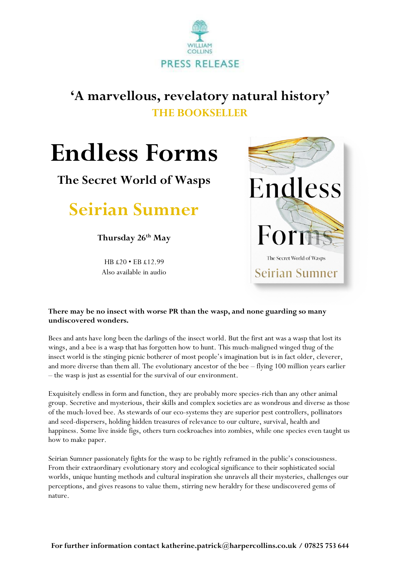

## **'A marvellous, revelatory natural history' THE BOOKSELLER**

# **Endless Forms**

**The Secret World of Wasps**

**Seirian Sumner**

**Thursday 26th May**

HB £20 • EB £12.99 Also available in audio



### **There may be no insect with worse PR than the wasp, and none guarding so many undiscovered wonders.**

Bees and ants have long been the darlings of the insect world. But the first ant was a wasp that lost its wings, and a bee is a wasp that has forgotten how to hunt. This much-maligned winged thug of the insect world is the stinging picnic botherer of most people's imagination but is in fact older, cleverer, and more diverse than them all. The evolutionary ancestor of the bee – flying 100 million years earlier – the wasp is just as essential for the survival of our environment.

Exquisitely endless in form and function, they are probably more species-rich than any other animal group. Secretive and mysterious, their skills and complex societies are as wondrous and diverse as those of the much-loved bee. As stewards of our eco-systems they are superior pest controllers, pollinators and seed-dispersers, holding hidden treasures of relevance to our culture, survival, health and happiness. Some live inside figs, others turn cockroaches into zombies, while one species even taught us how to make paper.

Seirian Sumner passionately fights for the wasp to be rightly reframed in the public's consciousness. From their extraordinary evolutionary story and ecological significance to their sophisticated social worlds, unique hunting methods and cultural inspiration she unravels all their mysteries, challenges our perceptions, and gives reasons to value them, stirring new heraldry for these undiscovered gems of nature.